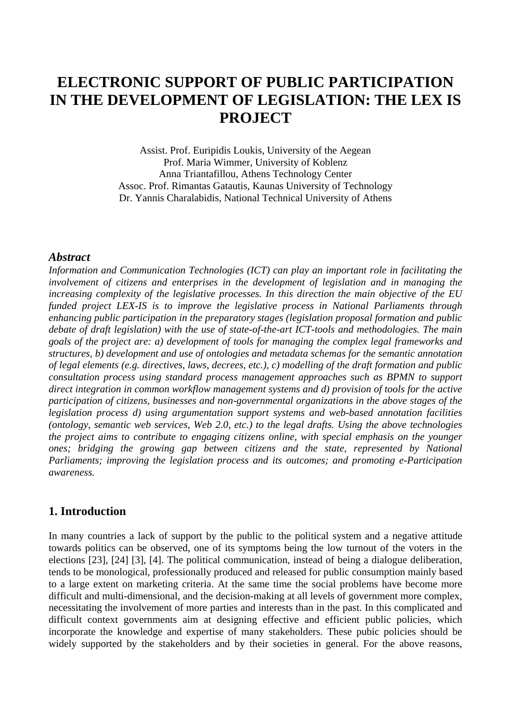# **ELECTRONIC SUPPORT OF PUBLIC PARTICIPATION IN THE DEVELOPMENT OF LEGISLATION: THE LEX IS PROJECT**

Assist. Prof. Euripidis Loukis, University of the Aegean Prof. Maria Wimmer, University of Koblenz Anna Triantafillou, Athens Technology Center Assoc. Prof. Rimantas Gatautis, Kaunas University of Technology Dr. Yannis Charalabidis, National Technical University of Athens

#### *Abstract*

*Information and Communication Technologies (ICT) can play an important role in facilitating the involvement of citizens and enterprises in the development of legislation and in managing the increasing complexity of the legislative processes. In this direction the main objective of the EU funded project LEX-IS is to improve the legislative process in National Parliaments through enhancing public participation in the preparatory stages (legislation proposal formation and public debate of draft legislation) with the use of state-of-the-art ICT-tools and methodologies. The main goals of the project are: a) development of tools for managing the complex legal frameworks and structures, b) development and use of ontologies and metadata schemas for the semantic annotation of legal elements (e.g. directives, laws, decrees, etc.), c) modelling of the draft formation and public consultation process using standard process management approaches such as BPMN to support direct integration in common workflow management systems and d) provision of tools for the active participation of citizens, businesses and non-governmental organizations in the above stages of the legislation process d) using argumentation support systems and web-based annotation facilities (ontology, semantic web services, Web 2.0, etc.) to the legal drafts. Using the above technologies the project aims to contribute to engaging citizens online, with special emphasis on the younger ones; bridging the growing gap between citizens and the state, represented by National Parliaments; improving the legislation process and its outcomes; and promoting e-Participation awareness.* 

### **1. Introduction**

In many countries a lack of support by the public to the political system and a negative attitude towards politics can be observed, one of its symptoms being the low turnout of the voters in the elections [23], [24] [3], [4]. The political communication, instead of being a dialogue deliberation, tends to be monological, professionally produced and released for public consumption mainly based to a large extent on marketing criteria. At the same time the social problems have become more difficult and multi-dimensional, and the decision-making at all levels of government more complex, necessitating the involvement of more parties and interests than in the past. In this complicated and difficult context governments aim at designing effective and efficient public policies, which incorporate the knowledge and expertise of many stakeholders. These pubic policies should be widely supported by the stakeholders and by their societies in general. For the above reasons,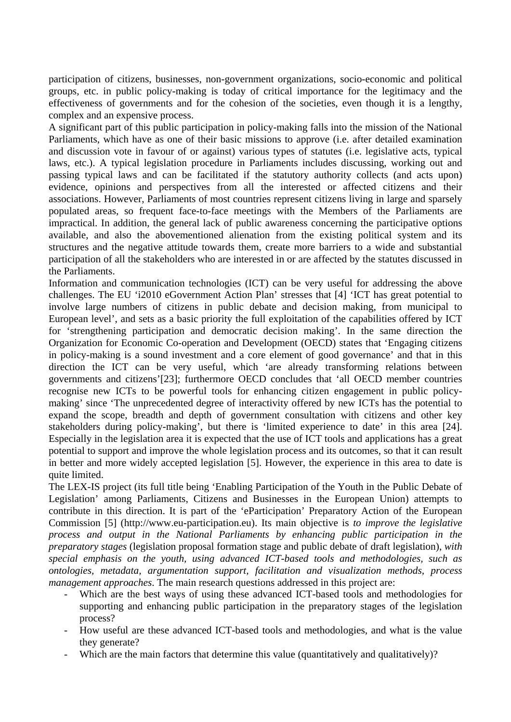participation of citizens, businesses, non-government organizations, socio-economic and political groups, etc. in public policy-making is today of critical importance for the legitimacy and the effectiveness of governments and for the cohesion of the societies, even though it is a lengthy, complex and an expensive process.

A significant part of this public participation in policy-making falls into the mission of the National Parliaments, which have as one of their basic missions to approve (i.e. after detailed examination and discussion vote in favour of or against) various types of statutes (i.e. legislative acts, typical laws, etc.). A typical legislation procedure in Parliaments includes discussing, working out and passing typical laws and can be facilitated if the statutory authority collects (and acts upon) evidence, opinions and perspectives from all the interested or affected citizens and their associations. However, Parliaments of most countries represent citizens living in large and sparsely populated areas, so frequent face-to-face meetings with the Members of the Parliaments are impractical. In addition, the general lack of public awareness concerning the participative options available, and also the abovementioned alienation from the existing political system and its structures and the negative attitude towards them, create more barriers to a wide and substantial participation of all the stakeholders who are interested in or are affected by the statutes discussed in the Parliaments.

Information and communication technologies (ICT) can be very useful for addressing the above challenges. The EU 'i2010 eGovernment Action Plan' stresses that [4] 'ICT has great potential to involve large numbers of citizens in public debate and decision making, from municipal to European level', and sets as a basic priority the full exploitation of the capabilities offered by ICT for 'strengthening participation and democratic decision making'. In the same direction the Organization for Economic Co-operation and Development (OECD) states that 'Engaging citizens in policy-making is a sound investment and a core element of good governance' and that in this direction the ICT can be very useful, which 'are already transforming relations between governments and citizens'[23]; furthermore OECD concludes that 'all OECD member countries recognise new ICTs to be powerful tools for enhancing citizen engagement in public policymaking' since 'The unprecedented degree of interactivity offered by new ICTs has the potential to expand the scope, breadth and depth of government consultation with citizens and other key stakeholders during policy-making', but there is 'limited experience to date' in this area [24]. Especially in the legislation area it is expected that the use of ICT tools and applications has a great potential to support and improve the whole legislation process and its outcomes, so that it can result in better and more widely accepted legislation [5]. However, the experience in this area to date is quite limited.

The LEX-IS project (its full title being 'Enabling Participation of the Youth in the Public Debate of Legislation' among Parliaments, Citizens and Businesses in the European Union) attempts to contribute in this direction. It is part of the 'eParticipation' Preparatory Action of the European Commission [5] (http://www.eu-participation.eu). Its main objective is *to improve the legislative process and output in the National Parliaments by enhancing public participation in the preparatory stages* (legislation proposal formation stage and public debate of draft legislation), *with special emphasis on the youth, using advanced ICT-based tools and methodologies, such as ontologies, metadata, argumentation support, facilitation and visualization methods, process management approaches*. The main research questions addressed in this project are:

- Which are the best ways of using these advanced ICT-based tools and methodologies for supporting and enhancing public participation in the preparatory stages of the legislation process?
- How useful are these advanced ICT-based tools and methodologies, and what is the value they generate?
- Which are the main factors that determine this value (quantitatively and qualitatively)?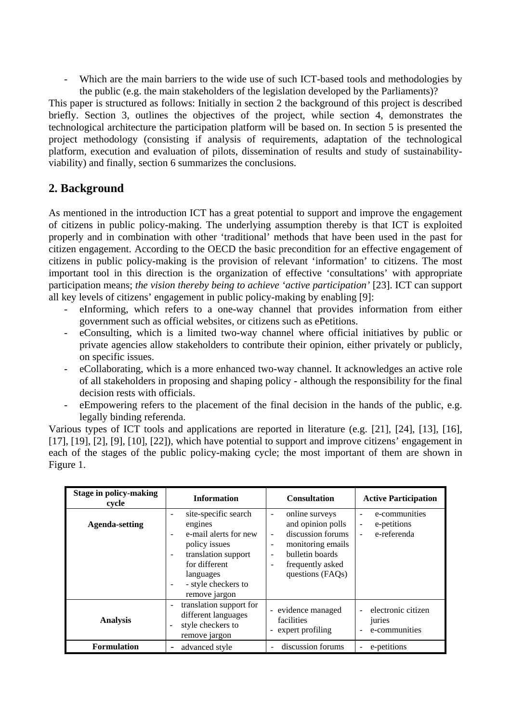- Which are the main barriers to the wide use of such ICT-based tools and methodologies by the public (e.g. the main stakeholders of the legislation developed by the Parliaments)?

This paper is structured as follows: Initially in section 2 the background of this project is described briefly. Section 3, outlines the objectives of the project, while section 4, demonstrates the technological architecture the participation platform will be based on. In section 5 is presented the project methodology (consisting if analysis of requirements, adaptation of the technological platform, execution and evaluation of pilots, dissemination of results and study of sustainabilityviability) and finally, section 6 summarizes the conclusions.

## **2. Background**

As mentioned in the introduction ICT has a great potential to support and improve the engagement of citizens in public policy-making. The underlying assumption thereby is that ICT is exploited properly and in combination with other 'traditional' methods that have been used in the past for citizen engagement. According to the OECD the basic precondition for an effective engagement of citizens in public policy-making is the provision of relevant 'information' to citizens. The most important tool in this direction is the organization of effective 'consultations' with appropriate participation means; *the vision thereby being to achieve 'active participation'* [23]. ICT can support all key levels of citizens' engagement in public policy-making by enabling [9]:

- eInforming, which refers to a one-way channel that provides information from either government such as official websites, or citizens such as ePetitions.
- eConsulting, which is a limited two-way channel where official initiatives by public or private agencies allow stakeholders to contribute their opinion, either privately or publicly, on specific issues.
- eCollaborating, which is a more enhanced two-way channel. It acknowledges an active role of all stakeholders in proposing and shaping policy - although the responsibility for the final decision rests with officials.
- eEmpowering refers to the placement of the final decision in the hands of the public, e.g. legally binding referenda.

Various types of ICT tools and applications are reported in literature (e.g. [21], [24], [13], [16], [17], [19], [2], [9], [10], [22]), which have potential to support and improve citizens' engagement in each of the stages of the public policy-making cycle; the most important of them are shown in Figure 1.

| <b>Stage in policy-making</b><br>cycle | <b>Information</b>                                                                                                                                                                                                                                                           | <b>Consultation</b>                                                                                                                                                                                        | <b>Active Participation</b>                                                                    |
|----------------------------------------|------------------------------------------------------------------------------------------------------------------------------------------------------------------------------------------------------------------------------------------------------------------------------|------------------------------------------------------------------------------------------------------------------------------------------------------------------------------------------------------------|------------------------------------------------------------------------------------------------|
| <b>Agenda-setting</b>                  | site-specific search<br>$\overline{\phantom{a}}$<br>engines<br>e-mail alerts for new<br>$\overline{\phantom{a}}$<br>policy issues<br>translation support<br>$\overline{\phantom{a}}$<br>for different<br>languages<br>- style checkers to<br>$\blacksquare$<br>remove jargon | online surveys<br>$\overline{\phantom{a}}$<br>and opinion polls<br>discussion forums<br>$\overline{\phantom{a}}$<br>monitoring emails<br>-<br>bulletin boards<br>۰<br>frequently asked<br>questions (FAQs) | e-communities<br>÷<br>e-petitions<br>$\overline{a}$<br>e-referenda<br>$\overline{\phantom{a}}$ |
| <b>Analysis</b>                        | translation support for<br>$\overline{\phantom{a}}$<br>different languages<br>style checkers to<br>remove jargon                                                                                                                                                             | - evidence managed<br>facilities<br>- expert profiling                                                                                                                                                     | electronic citizen<br>$\overline{\phantom{a}}$<br>juries<br>e-communities<br>٠                 |
| <b>Formulation</b>                     | advanced style<br>-                                                                                                                                                                                                                                                          | discussion forums                                                                                                                                                                                          | e-petitions<br>÷                                                                               |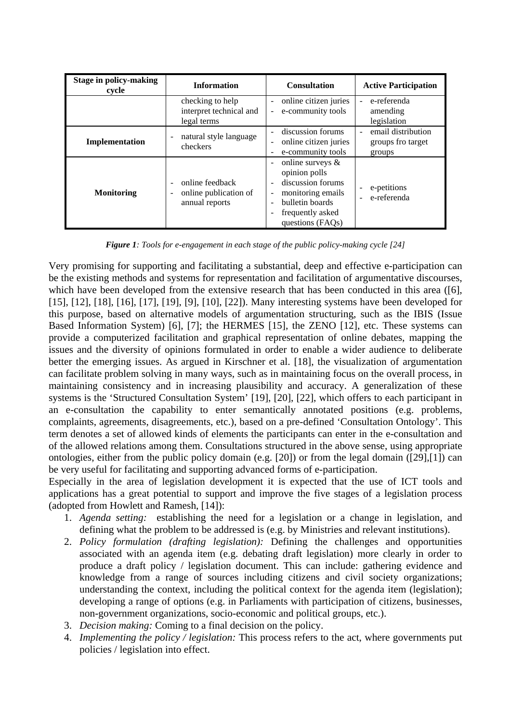| <b>Stage in policy-making</b><br>cycle | <b>Information</b>                                         | <b>Consultation</b>                                                                                                                                                                                                                                                         | <b>Active Participation</b>                              |
|----------------------------------------|------------------------------------------------------------|-----------------------------------------------------------------------------------------------------------------------------------------------------------------------------------------------------------------------------------------------------------------------------|----------------------------------------------------------|
|                                        | checking to help<br>interpret technical and<br>legal terms | online citizen juries<br>$\overline{\phantom{a}}$<br>e-community tools<br>$\sim$                                                                                                                                                                                            | e-referenda<br>$\blacksquare$<br>amending<br>legislation |
| Implementation                         | natural style language<br>checkers                         | discussion forums<br>online citizen juries<br>$\qquad \qquad -$<br>e-community tools<br>$\qquad \qquad -$                                                                                                                                                                   | email distribution<br>groups fro target<br>groups        |
| <b>Monitoring</b>                      | online feedback<br>online publication of<br>annual reports | online surveys $\&$<br>$\overline{\phantom{a}}$<br>opinion polls<br>discussion forums<br>$\overline{\phantom{0}}$<br>monitoring emails<br>$\overline{a}$<br>bulletin boards<br>$\overline{\phantom{0}}$<br>frequently asked<br>$\overline{\phantom{a}}$<br>questions (FAQs) | e-petitions<br>e-referenda                               |

*Figure 1: Tools for e-engagement in each stage of the public policy-making cycle [24]* 

Very promising for supporting and facilitating a substantial, deep and effective e-participation can be the existing methods and systems for representation and facilitation of argumentative discourses, which have been developed from the extensive research that has been conducted in this area ([6], [15], [12], [18], [16], [17], [19], [9], [10], [22]). Many interesting systems have been developed for this purpose, based on alternative models of argumentation structuring, such as the IBIS (Issue Based Information System) [6], [7]; the HERMES [15], the ZENO [12], etc. These systems can provide a computerized facilitation and graphical representation of online debates, mapping the issues and the diversity of opinions formulated in order to enable a wider audience to deliberate better the emerging issues. As argued in Kirschner et al. [18], the visualization of argumentation can facilitate problem solving in many ways, such as in maintaining focus on the overall process, in maintaining consistency and in increasing plausibility and accuracy. A generalization of these systems is the 'Structured Consultation System' [19], [20], [22], which offers to each participant in an e-consultation the capability to enter semantically annotated positions (e.g. problems, complaints, agreements, disagreements, etc.), based on a pre-defined 'Consultation Ontology'. This term denotes a set of allowed kinds of elements the participants can enter in the e-consultation and of the allowed relations among them. Consultations structured in the above sense, using appropriate ontologies, either from the public policy domain (e.g. [20]) or from the legal domain ([29],[1]) can be very useful for facilitating and supporting advanced forms of e-participation.

Especially in the area of legislation development it is expected that the use of ICT tools and applications has a great potential to support and improve the five stages of a legislation process (adopted from Howlett and Ramesh, [14]):

- 1. *Agenda setting:* establishing the need for a legislation or a change in legislation, and defining what the problem to be addressed is (e.g. by Ministries and relevant institutions).
- 2. *Policy formulation (drafting legislation):* Defining the challenges and opportunities associated with an agenda item (e.g. debating draft legislation) more clearly in order to produce a draft policy / legislation document. This can include: gathering evidence and knowledge from a range of sources including citizens and civil society organizations; understanding the context, including the political context for the agenda item (legislation); developing a range of options (e.g. in Parliaments with participation of citizens, businesses, non-government organizations, socio-economic and political groups, etc.).
- 3. *Decision making:* Coming to a final decision on the policy.
- 4. *Implementing the policy / legislation:* This process refers to the act, where governments put policies / legislation into effect.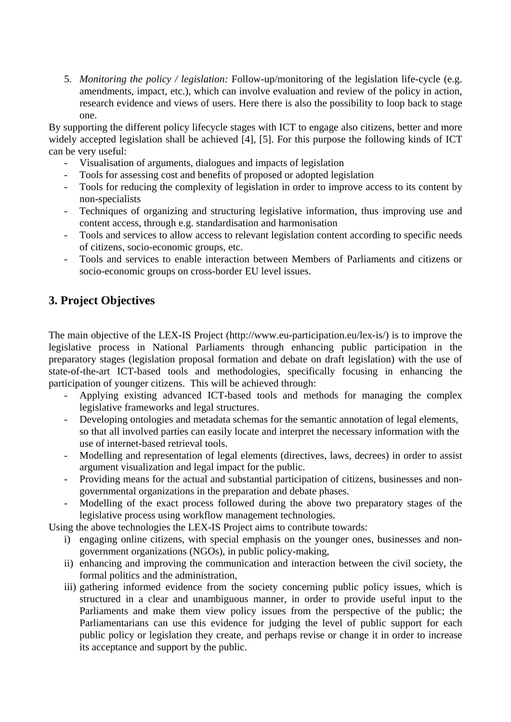5. *Monitoring the policy / legislation:* Follow-up/monitoring of the legislation life-cycle (e.g. amendments, impact, etc.), which can involve evaluation and review of the policy in action, research evidence and views of users. Here there is also the possibility to loop back to stage one.

By supporting the different policy lifecycle stages with ICT to engage also citizens, better and more widely accepted legislation shall be achieved [4], [5]. For this purpose the following kinds of ICT can be very useful:

- Visualisation of arguments, dialogues and impacts of legislation
- Tools for assessing cost and benefits of proposed or adopted legislation
- Tools for reducing the complexity of legislation in order to improve access to its content by non-specialists
- Techniques of organizing and structuring legislative information, thus improving use and content access, through e.g. standardisation and harmonisation
- Tools and services to allow access to relevant legislation content according to specific needs of citizens, socio-economic groups, etc.
- Tools and services to enable interaction between Members of Parliaments and citizens or socio-economic groups on cross-border EU level issues.

# **3. Project Objectives**

The main objective of the LEX-IS Project (http://www.eu-participation.eu/lex-is/) is to improve the legislative process in National Parliaments through enhancing public participation in the preparatory stages (legislation proposal formation and debate on draft legislation) with the use of state-of-the-art ICT-based tools and methodologies, specifically focusing in enhancing the participation of younger citizens. This will be achieved through:

- Applying existing advanced ICT-based tools and methods for managing the complex legislative frameworks and legal structures.
- Developing ontologies and metadata schemas for the semantic annotation of legal elements, so that all involved parties can easily locate and interpret the necessary information with the use of internet-based retrieval tools.
- Modelling and representation of legal elements (directives, laws, decrees) in order to assist argument visualization and legal impact for the public.
- Providing means for the actual and substantial participation of citizens, businesses and nongovernmental organizations in the preparation and debate phases.
- Modelling of the exact process followed during the above two preparatory stages of the legislative process using workflow management technologies.

Using the above technologies the LEX-IS Project aims to contribute towards:

- i) engaging online citizens, with special emphasis on the younger ones, businesses and nongovernment organizations (NGOs), in public policy-making,
- ii) enhancing and improving the communication and interaction between the civil society, the formal politics and the administration,
- iii) gathering informed evidence from the society concerning public policy issues, which is structured in a clear and unambiguous manner, in order to provide useful input to the Parliaments and make them view policy issues from the perspective of the public; the Parliamentarians can use this evidence for judging the level of public support for each public policy or legislation they create, and perhaps revise or change it in order to increase its acceptance and support by the public.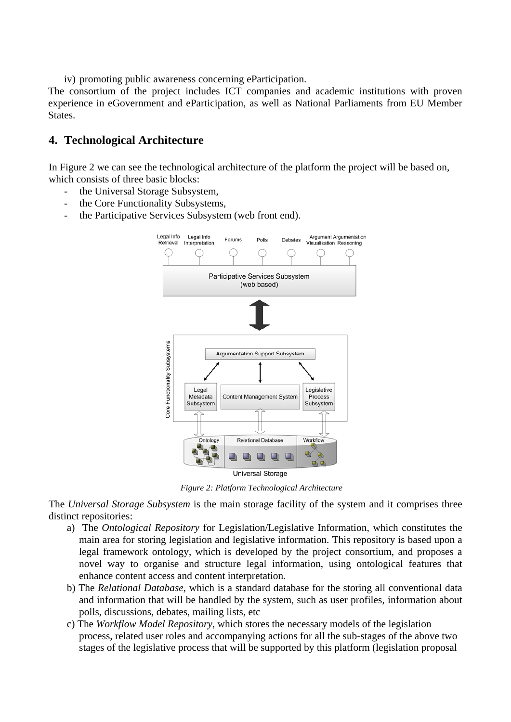iv) promoting public awareness concerning eParticipation.

The consortium of the project includes ICT companies and academic institutions with proven experience in eGovernment and eParticipation, as well as National Parliaments from EU Member States.

### **4. Technological Architecture**

In Figure 2 we can see the technological architecture of the platform the project will be based on, which consists of three basic blocks:

- the Universal Storage Subsystem,
- the Core Functionality Subsystems,
- the Participative Services Subsystem (web front end).



*Figure 2: Platform Technological Architecture* 

The *Universal Storage Subsystem* is the main storage facility of the system and it comprises three distinct repositories:

- a) The *Ontological Repository* for Legislation/Legislative Information, which constitutes the main area for storing legislation and legislative information. This repository is based upon a legal framework ontology, which is developed by the project consortium, and proposes a novel way to organise and structure legal information, using ontological features that enhance content access and content interpretation.
- b) The *Relational Database*, which is a standard database for the storing all conventional data and information that will be handled by the system, such as user profiles, information about polls, discussions, debates, mailing lists, etc
- c) The *Workflow Model Repository*, which stores the necessary models of the legislation process, related user roles and accompanying actions for all the sub-stages of the above two stages of the legislative process that will be supported by this platform (legislation proposal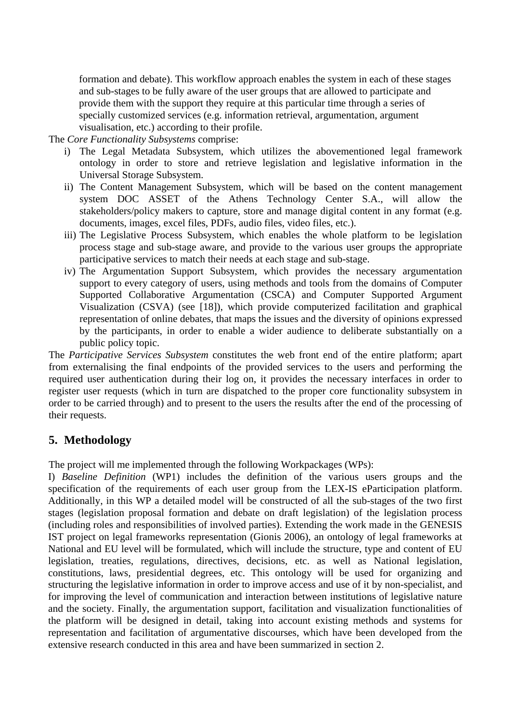formation and debate). This workflow approach enables the system in each of these stages and sub-stages to be fully aware of the user groups that are allowed to participate and provide them with the support they require at this particular time through a series of specially customized services (e.g. information retrieval, argumentation, argument visualisation, etc.) according to their profile.

The *Core Functionality Subsystems* comprise:

- i) The Legal Metadata Subsystem, which utilizes the abovementioned legal framework ontology in order to store and retrieve legislation and legislative information in the Universal Storage Subsystem.
- ii) The Content Management Subsystem, which will be based on the content management system DOC ASSET of the Athens Technology Center S.A., will allow the stakeholders/policy makers to capture, store and manage digital content in any format (e.g. documents, images, excel files, PDFs, audio files, video files, etc.).
- iii) The Legislative Process Subsystem, which enables the whole platform to be legislation process stage and sub-stage aware, and provide to the various user groups the appropriate participative services to match their needs at each stage and sub-stage.
- iv) The Argumentation Support Subsystem, which provides the necessary argumentation support to every category of users, using methods and tools from the domains of Computer Supported Collaborative Argumentation (CSCA) and Computer Supported Argument Visualization (CSVA) (see [18]), which provide computerized facilitation and graphical representation of online debates, that maps the issues and the diversity of opinions expressed by the participants, in order to enable a wider audience to deliberate substantially on a public policy topic.

The *Participative Services Subsystem* constitutes the web front end of the entire platform; apart from externalising the final endpoints of the provided services to the users and performing the required user authentication during their log on, it provides the necessary interfaces in order to register user requests (which in turn are dispatched to the proper core functionality subsystem in order to be carried through) and to present to the users the results after the end of the processing of their requests.

### **5. Methodology**

The project will me implemented through the following Workpackages (WPs):

I) *Baseline Definition* (WP1) includes the definition of the various users groups and the specification of the requirements of each user group from the LEX-IS eParticipation platform. Additionally, in this WP a detailed model will be constructed of all the sub-stages of the two first stages (legislation proposal formation and debate on draft legislation) of the legislation process (including roles and responsibilities of involved parties). Extending the work made in the GENESIS IST project on legal frameworks representation (Gionis 2006), an ontology of legal frameworks at National and EU level will be formulated, which will include the structure, type and content of EU legislation, treaties, regulations, directives, decisions, etc. as well as National legislation, constitutions, laws, presidential degrees, etc. This ontology will be used for organizing and structuring the legislative information in order to improve access and use of it by non-specialist, and for improving the level of communication and interaction between institutions of legislative nature and the society. Finally, the argumentation support, facilitation and visualization functionalities of the platform will be designed in detail, taking into account existing methods and systems for representation and facilitation of argumentative discourses, which have been developed from the extensive research conducted in this area and have been summarized in section 2.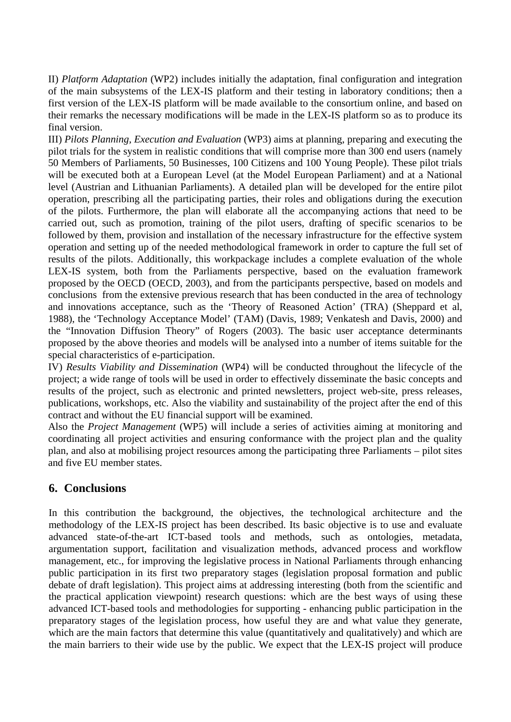II) *Platform Adaptation* (WP2) includes initially the adaptation, final configuration and integration of the main subsystems of the LEX-IS platform and their testing in laboratory conditions; then a first version of the LEX-IS platform will be made available to the consortium online, and based on their remarks the necessary modifications will be made in the LEX-IS platform so as to produce its final version.

III) *Pilots Planning, Execution and Evaluation* (WP3) aims at planning, preparing and executing the pilot trials for the system in realistic conditions that will comprise more than 300 end users (namely 50 Members of Parliaments, 50 Businesses, 100 Citizens and 100 Young People). These pilot trials will be executed both at a European Level (at the Model European Parliament) and at a National level (Austrian and Lithuanian Parliaments). A detailed plan will be developed for the entire pilot operation, prescribing all the participating parties, their roles and obligations during the execution of the pilots. Furthermore, the plan will elaborate all the accompanying actions that need to be carried out, such as promotion, training of the pilot users, drafting of specific scenarios to be followed by them, provision and installation of the necessary infrastructure for the effective system operation and setting up of the needed methodological framework in order to capture the full set of results of the pilots. Additionally, this workpackage includes a complete evaluation of the whole LEX-IS system, both from the Parliaments perspective, based on the evaluation framework proposed by the OECD (OECD, 2003), and from the participants perspective, based on models and conclusions from the extensive previous research that has been conducted in the area of technology and innovations acceptance, such as the 'Theory of Reasoned Action' (TRA) (Sheppard et al, 1988), the 'Technology Acceptance Model' (TAM) (Davis, 1989; Venkatesh and Davis, 2000) and the "Innovation Diffusion Theory" of Rogers (2003). The basic user acceptance determinants proposed by the above theories and models will be analysed into a number of items suitable for the special characteristics of e-participation.

IV) *Results Viability and Dissemination* (WP4) will be conducted throughout the lifecycle of the project; a wide range of tools will be used in order to effectively disseminate the basic concepts and results of the project, such as electronic and printed newsletters, project web-site, press releases, publications, workshops, etc. Also the viability and sustainability of the project after the end of this contract and without the EU financial support will be examined.

Also the *Project Management* (WP5) will include a series of activities aiming at monitoring and coordinating all project activities and ensuring conformance with the project plan and the quality plan, and also at mobilising project resources among the participating three Parliaments – pilot sites and five EU member states.

### **6. Conclusions**

In this contribution the background, the objectives, the technological architecture and the methodology of the LEX-IS project has been described. Its basic objective is to use and evaluate advanced state-of-the-art ICT-based tools and methods, such as ontologies, metadata, argumentation support, facilitation and visualization methods, advanced process and workflow management, etc., for improving the legislative process in National Parliaments through enhancing public participation in its first two preparatory stages (legislation proposal formation and public debate of draft legislation). This project aims at addressing interesting (both from the scientific and the practical application viewpoint) research questions: which are the best ways of using these advanced ICT-based tools and methodologies for supporting - enhancing public participation in the preparatory stages of the legislation process, how useful they are and what value they generate, which are the main factors that determine this value (quantitatively and qualitatively) and which are the main barriers to their wide use by the public. We expect that the LEX-IS project will produce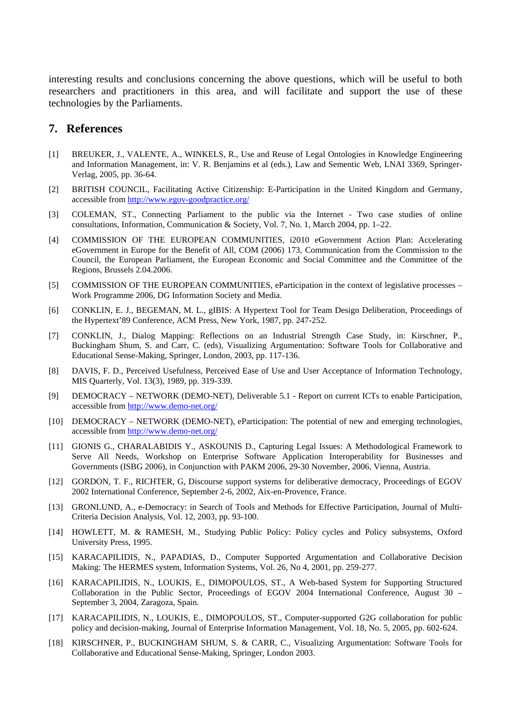interesting results and conclusions concerning the above questions, which will be useful to both researchers and practitioners in this area, and will facilitate and support the use of these technologies by the Parliaments.

#### **7. References**

- [1] BREUKER, J., VALENTE, A., WINKELS, R., Use and Reuse of Legal Ontologies in Knowledge Engineering and Information Management, in: V. R. Benjamins et al (eds.), Law and Sementic Web, LNAI 3369, Springer-Verlag, 2005, pp. 36-64.
- [2] BRITISH COUNCIL, Facilitating Active Citizenship: E-Participation in the United Kingdom and Germany, accessible from <http://www.egov-goodpractice.org/>
- [3] COLEMAN, ST., Connecting Parliament to the public via the Internet Two case studies of online consultations, Information, Communication & Society, Vol. 7, No. 1, March 2004, pp. 1–22.
- [4] COMMISSION OF THE EUROPEAN COMMUNITIES, i2010 eGovernment Action Plan: Accelerating eGovernment in Europe for the Benefit of All, COM (2006) 173, Communication from the Commission to the Council, the European Parliament, the European Economic and Social Committee and the Committee of the Regions, Brussels 2.04.2006.
- [5] COMMISSION OF THE EUROPEAN COMMUNITIES, eParticipation in the context of legislative processes Work Programme 2006, DG Information Society and Media.
- [6] CONKLIN, E. J., BEGEMAN, M. L., gIBIS: A Hypertext Tool for Team Design Deliberation, Proceedings of the Hypertext'89 Conference, ACM Press, New York, 1987, pp. 247-252.
- [7] CONKLIN, J., Dialog Mapping: Reflections on an Industrial Strength Case Study, in: Kirschner, P., Buckingham Shum, S. and Carr, C. (eds), Visualizing Argumentation: Software Tools for Collaborative and Educational Sense-Making, Springer, London, 2003, pp. 117-136.
- [8] DAVIS, F. D., Perceived Usefulness, Perceived Ease of Use and User Acceptance of Information Technology, MIS Quarterly, Vol. 13(3), 1989, pp. 319-339.
- [9] DEMOCRACY NETWORK (DEMO-NET), Deliverable 5.1 Report on current ICTs to enable Participation, accessible from <http://www.demo-net.org/>
- [10] DEMOCRACY NETWORK (DEMO-NET), eParticipation: The potential of new and emerging technologies, accessible from <http://www.demo-net.org/>
- [11] GIONIS G., CHARALABIDIS Y., ASKOUNIS D., Capturing Legal Issues: A Methodological Framework to Serve All Needs, Workshop on Enterprise Software Application Interoperability for Businesses and Governments (ISBG 2006), in Conjunction with PAKM 2006, 29-30 November, 2006, Vienna, Austria.
- [12] GORDON, T. F., RICHTER, G, Discourse support systems for deliberative democracy, Proceedings of EGOV 2002 International Conference, September 2-6, 2002, Aix-en-Provence, France.
- [13] GRONLUND, A., e-Democracy: in Search of Tools and Methods for Effective Participation, Journal of Multi-Criteria Decision Analysis, Vol. 12, 2003, pp. 93-100.
- [14] HOWLETT, M. & RAMESH, M., Studying Public Policy: Policy cycles and Policy subsystems, Oxford University Press, 1995.
- [15] KARACAPILIDIS, N., PAPADIAS, D., Computer Supported Argumentation and Collaborative Decision Making: The HERMES system, Information Systems, Vol. 26, No 4, 2001, pp. 259-277.
- [16] KARACAPILIDIS, N., LOUKIS, E., DIMOPOULOS, ST., A Web-based System for Supporting Structured Collaboration in the Public Sector, Proceedings of EGOV 2004 International Conference, August 30 – September 3, 2004, Zaragoza, Spain.
- [17] KARACAPILIDIS, N., LOUKIS, E., DIMOPOULOS, ST., Computer-supported G2G collaboration for public policy and decision-making, Journal of Enterprise Information Management, Vol. 18, No. 5, 2005, pp. 602-624.
- [18] KIRSCHNER, P., BUCKINGHAM SHUM, S. & CARR, C., Visualizing Argumentation: Software Tools for Collaborative and Educational Sense-Making, Springer, London 2003.